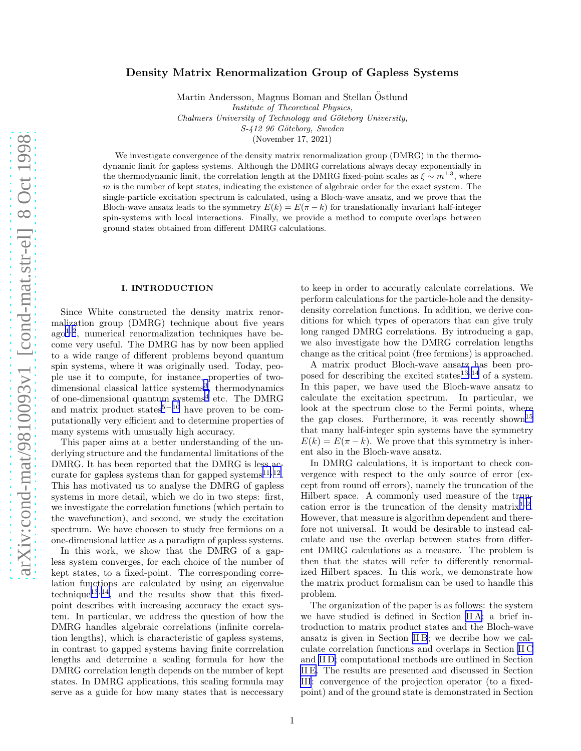# Density Matrix Renormalization Group of Gapless Systems

Martin Andersson, Magnus Boman and Stellan Ostlund ¨ Institute of Theoretical Physics, Chalmers University of Technology and Göteborg University, S-412 96 Göteborg, Sweden

(November 17, 2021)

We investigate convergence of the density matrix renormalization group (DMRG) in the thermodynamic limit for gapless systems. Although the DMRG correlations always decay exponentially in the thermodynamic limit, the correlation length at the DMRG fixed-point scales as  $\xi \sim m^{1.3}$ , where  $m$  is the number of kept states, indicating the existence of algebraic order for the exact system. The single-particle excitation spectrum is calculated, using a Bloch-wave ansatz, and we prove that the Bloch-wave ansatz leads to the symmetry  $E(k) = E(\pi - k)$  for translationally invariant half-integer spin-systems with local interactions. Finally, we provide a method to compute overlaps between ground states obtained from different DMRG calculations.

### I. INTRODUCTION

Since White constructed the density matrix renormalization group (DMRG) technique about five years ago[1](#page-10-0),[2](#page-10-0) , numerical renormalization techniques have become very useful. The DMRG has by now been applied to a wide range of different problems beyond quantum spin systems, where it was originally used. Today, people use it to compute, for instance, properties of two-dimensional classical lattice systems<sup>[3](#page-10-0)</sup>, thermodynamics of one-dimensional quantum systems<sup>[4](#page-10-0)</sup> etc. The DMRG and matrix product states<sup>[5](#page-10-0)−[10](#page-10-0)</sup> have proven to be computationally very efficient and to determine properties of many systems with unusually high accuracy.

This paper aims at a better understanding of the underlying structure and the fundamental limitations of the DMRG. It has been reported that the DMRG is less ac-curate for gapless systems than for gapped systems<sup>[11](#page-10-0),[12](#page-10-0)</sup>. This has motivated us to analyse the DMRG of gapless systems in more detail, which we do in two steps: first, we investigate the correlation functions (which pertain to the wavefunction), and second, we study the excitation spectrum. We have choosen to study free fermions on a one-dimensional lattice as a paradigm of gapless systems.

In this work, we show that the DMRG of a gapless system converges, for each choice of the number of kept states, to a fixed-point. The corresponding correlation functions are calculated by using an eigenvalue  $technique<sup>13,14</sup>$  $technique<sup>13,14</sup>$  $technique<sup>13,14</sup>$  $technique<sup>13,14</sup>$  $technique<sup>13,14</sup>$ , and the results show that this fixedpoint describes with increasing accuracy the exact system. In particular, we address the question of how the DMRG handles algebraic correlations (infinite correlation lengths), which is characteristic of gapless systems, in contrast to gapped systems having finite corrrelation lengths and determine a scaling formula for how the DMRG correlation length depends on the number of kept states. In DMRG applications, this scaling formula may serve as a guide for how many states that is neccessary

to keep in order to accuratly calculate correlations. We perform calculations for the particle-hole and the densitydensity correlation functions. In addition, we derive conditions for which types of operators that can give truly long ranged DMRG correlations. By introducing a gap, we also investigate how the DMRG correlation lengths change as the critical point (free fermions) is approached.

A matrix product Bloch-wave ansatz has been proposed for describing the excited states $13,14$  $13,14$  $13,14$  of a system. In this paper, we have used the Bloch-wave ansatz to calculate the excitation spectrum. In particular, we look at the spectrum close to the Fermi points, where the gap closes. Furthermore, it was recently shown<sup>[15](#page-10-0)</sup> that many half-integer spin systems have the symmetry  $E(k) = E(\pi - k)$ . We prove that this symmetry is inherent also in the Bloch-wave ansatz.

In DMRG calculations, it is important to check convergence with respect to the only source of error (except from round off errors), namely the truncation of the Hilbert space. A commonly used measure of the trun-cation error is the truncation of the density matrix<sup>[1](#page-10-0),[2](#page-10-0)</sup>. However, that measure is algorithm dependent and therefore not universal. It would be desirable to instead calculate and use the overlap between states from different DMRG calculations as a measure. The problem is then that the states will refer to differently renormalized Hilbert spaces. In this work, we demonstrate how the matrix product formalism can be used to handle this problem.

The organization of the paper is as follows: the system we have studied is defined in Section [II A;](#page-1-0) a brief introduction to matrix product states and the Bloch-wave ansatz is given in Section [II B](#page-1-0); we decribe how we calculate correlation functions and overlaps in Section [II C](#page-2-0) and [II D;](#page-3-0) computational methods are outlined in Section [II E.](#page-3-0) The results are presented and discussed in Section [III](#page-3-0): convergence of the projection operator (to a fixedpoint) and of the ground state is demonstrated in Section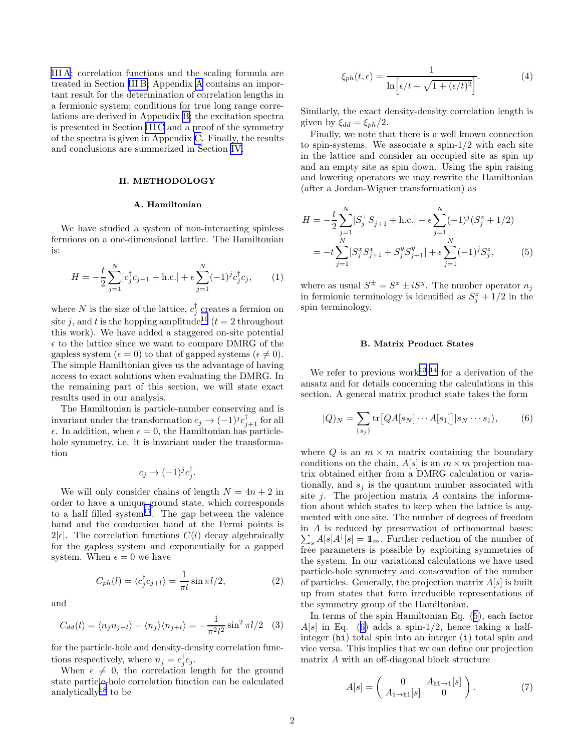<span id="page-1-0"></span>[III A](#page-3-0); correlation functions and the scaling formula are treated in Section [III B;](#page-4-0) Appendix [A](#page-7-0) contains an important result for the determination of correlation lengths in a fermionic system; conditions for true long range correlations are derived in Appendix [B;](#page-7-0) the excitation spectra is presented in Section [III C](#page-5-0) and a proof of the symmetry of the spectra is given in Appendix [C](#page-9-0). Finally, the results and conclusions are summerized in Section [IV.](#page-6-0)

### II. METHODOLOGY

#### A. Hamiltonian

We have studied a system of non-interacting spinless fermions on a one-dimensional lattice. The Hamiltonian is:

$$
H = -\frac{t}{2} \sum_{j=1}^{N} [c_j^{\dagger} c_{j+1} + \text{h.c.}] + \epsilon \sum_{j=1}^{N} (-1)^{j} c_j^{\dagger} c_j, \qquad (1)
$$

where N is the size of the lattice,  $c_j^{\dagger}$  creates a fermion on site j, and t is the hopping amplitude<sup>[16](#page-10-0)</sup> ( $t = 2$  throughout this work). We have added a staggered on-site potential  $\epsilon$  to the lattice since we want to compare DMRG of the gapless system ( $\epsilon = 0$ ) to that of gapped systems ( $\epsilon \neq 0$ ). The simple Hamiltonian gives us the advantage of having access to exact solutions when evaluating the DMRG. In the remaining part of this section, we will state exact results used in our analysis.

The Hamiltonian is particle-number conserving and is invariant under the transformation  $c_j \to (-1)^j c_{j+1}^{\dagger}$  for all  $\epsilon$ . In addition, when  $\epsilon = 0$ , the Hamiltonian has particlehole symmetry, i.e. it is invariant under the transformation

$$
c_j \to (-1)^j c_j^{\dagger}.
$$

We will only consider chains of length  $N = 4n + 2$  in order to have a unique ground state, which corresponds to a half filled system<sup>[17](#page-10-0)</sup>. The gap between the valence band and the conduction band at the Fermi points is  $2|\epsilon|$ . The correlation functions  $C(l)$  decay algebraically for the gapless system and exponentially for a gapped system. When  $\epsilon = 0$  we have

$$
C_{ph}(l) = \langle c_j^{\dagger} c_{j+l} \rangle = \frac{1}{\pi l} \sin \pi l/2, \qquad (2)
$$

and

$$
C_{dd}(l) = \langle n_j n_{j+l} \rangle - \langle n_j \rangle \langle n_{j+l} \rangle = -\frac{1}{\pi^2 l^2} \sin^2 \pi l/2 \quad (3)
$$

for the particle-hole and density-density correlation functions respectively, where  $n_j = c_j^{\dagger} c_j$ .

When  $\epsilon \neq 0$ , the correlation length for the ground state particle-hole correlation function can be calculated analytically<sup>[18](#page-10-0)</sup> to be

$$
\xi_{ph}(t,\epsilon) = \frac{1}{\ln\left[\epsilon/t + \sqrt{1 + (\epsilon/t)^2}\right]}.
$$
\n(4)

Similarly, the exact density-density correlation length is given by  $\xi_{dd} = \xi_{ph}/2$ .

Finally, we note that there is a well known connection to spin-systems. We associate a spin-1/2 with each site in the lattice and consider an occupied site as spin up and an empty site as spin down. Using the spin raising and lowering operators we may rewrite the Hamiltonian (after a Jordan-Wigner transformation) as

$$
H = -\frac{t}{2} \sum_{j=1}^{N} [S_j^+ S_{j+1}^- + \text{h.c.}] + \epsilon \sum_{j=1}^{N} (-1)^j (S_j^z + 1/2)
$$
  
= 
$$
-t \sum_{j=1}^{N} [S_j^x S_{j+1}^x + S_j^y S_{j+1}^y] + \epsilon \sum_{j=1}^{N} (-1)^j S_j^z,
$$
 (5)

where as usual  $S^{\pm} = S^x \pm iS^y$ . The number operator  $n_j$ in fermionic terminology is identified as  $S_j^z + 1/2$  in the spin terminology.

#### B. Matrix Product States

We refer to previous work<sup>[13](#page-10-0),[14](#page-10-0)</sup> for a derivation of the ansatz and for details concerning the calculations in this section. A general matrix product state takes the form

$$
|Q)_N = \sum_{\{s_j\}} tr\big[QA[s_N]\cdots A[s_1]\big]|s_N\cdots s_1\rangle, \qquad (6)
$$

where  $Q$  is an  $m \times m$  matrix containing the boundary conditions on the chain,  $A[s]$  is an  $m \times m$  projection matrix obtained either from a DMRG calculation or variationally, and  $s_i$  is the quantum number associated with site  $j$ . The projection matrix  $A$  contains the information about which states to keep when the lattice is augmented with one site. The number of degrees of freedom in A is reduced by preservation of orthonormal bases:  $\sum_{s} A[s] A^{\dagger}[s] = \mathbb{1}_m$ . Further reduction of the number of free parameters is possible by exploiting symmetries of the system. In our variational calculations we have used particle-hole symmetry and conservation of the number of particles. Generally, the projection matrix  $A[s]$  is built up from states that form irreducible representations of the symmetry group of the Hamiltonian.

In terms of the spin Hamiltonian Eq. (5), each factor  $A[s]$  in Eq. (6) adds a spin-1/2, hence taking a halfinteger (hi) total spin into an integer (i) total spin and vice versa. This implies that we can define our projection matrix A with an off-diagonal block structure

$$
A[s] = \begin{pmatrix} 0 & A_{\text{hi}\to 1}[s] \\ A_{\text{i}\to \text{hi}}[s] & 0 \end{pmatrix}.
$$
 (7)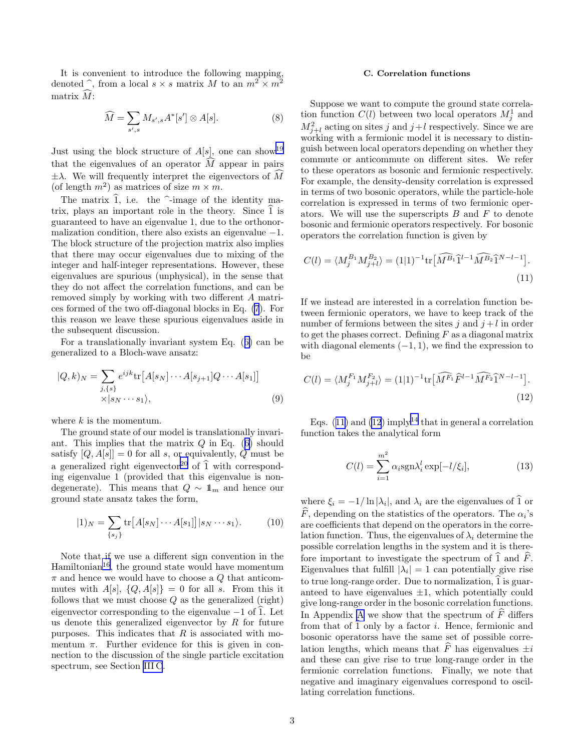<span id="page-2-0"></span>It is convenient to introduce the following mapping, denoted  $\hat{\ }$ , from a local  $s \times s$  matrix M to an  $m^2 \times m^2$ matrix  $\widehat{M}$ :

$$
\widehat{M} = \sum_{s',s} M_{s',s} A^*[s'] \otimes A[s]. \tag{8}
$$

Just using the block structure of  $A[s]$ , one can show<sup>[19](#page-10-0)</sup> that the eigenvalues of an operator  $\hat{M}$  appear in pairs  $\pm \lambda$ . We will frequently interpret the eigenvectors of M (of length  $m^2$ ) as matrices of size  $m \times m$ .

The matrix  $\hat{1}$ , i.e. the  $\hat{}$ -image of the identity matrix, plays an important role in the theory. Since  $\overline{1}$  is guaranteed to have an eigenvalue 1, due to the orthonormalization condition, there also exists an eigenvalue  $-1$ . The block structure of the projection matrix also implies that there may occur eigenvalues due to mixing of the integer and half-integer representations. However, these eigenvalues are spurious (unphysical), in the sense that they do not affect the correlation functions, and can be removed simply by working with two different A matrices formed of the two off-diagonal blocks in Eq. [\(7](#page-1-0)). For this reason we leave these spurious eigenvalues aside in the subsequent discussion.

For a translationally invariant system Eq.([6\)](#page-1-0) can be generalized to a Bloch-wave ansatz:

$$
|Q,k\rangle_N = \sum_{\substack{j,\{s\} \\ \times \{s_N \cdots s_1\},}} e^{ijk} \text{tr}[A[s_N] \cdots A[s_{j+1}] Q \cdots A[s_1]]
$$
\n
$$
\langle s_N \cdots s_1 \rangle,
$$
\n(9)

where  $k$  is the momentum.

The ground state of our model is translationally invari-ant.This implies that the matrix  $Q$  in Eq. ([6\)](#page-1-0) should satisfy  $[Q, A[s]] = 0$  for all s, or equivalently, Q must be a generalized right eigenvector<sup>[20](#page-10-0)</sup> of  $\hat{1}$  with corresponding eigenvalue 1 (provided that this eigenvalue is nondegenerate). This means that  $Q \sim 1<sub>m</sub>$  and hence our ground state ansatz takes the form,

$$
|1\rangle_N = \sum_{\{s_j\}} \text{tr}\big[A[s_N] \cdots A[s_1]\big]|s_N \cdots s_1\rangle. \tag{10}
$$

Note that if we use a different sign convention in the  $Hamiltonian<sup>16</sup>$  $Hamiltonian<sup>16</sup>$  $Hamiltonian<sup>16</sup>$ , the ground state would have momentum  $\pi$  and hence we would have to choose a Q that anticommutes with  $A[s]$ ,  $\{Q, A[s]\} = 0$  for all s. From this it follows that we must choose  $Q$  as the generalized (right) eigenvector corresponding to the eigenvalue  $-1$  of 1. Let us denote this generalized eigenvector by  $R$  for future purposes. This indicates that  $R$  is associated with momentum  $\pi$ . Further evidence for this is given in connection to the discussion of the single particle excitation spectrum, see Section [III C](#page-5-0).

# C. Correlation functions

Suppose we want to compute the ground state correlation function  $C(l)$  between two local operators  $M_j^1$  and  $M_{j+l}^2$  acting on sites j and  $j+l$  respectively. Since we are working with a fermionic model it is necessary to distinguish between local operators depending on whether they commute or anticommute on different sites. We refer to these operators as bosonic and fermionic respectively. For example, the density-density correlation is expressed in terms of two bosonic operators, while the particle-hole correlation is expressed in terms of two fermionic operators. We will use the superscripts  $B$  and  $F$  to denote bosonic and fermionic operators respectively. For bosonic operators the correlation function is given by

$$
C(l) = \langle M_j^{B_1} M_{j+l}^{B_2} \rangle = (1|1)^{-1} \text{tr} \left[ \widehat{M^{B_1}} \widehat{1}^{l-1} \widehat{M^{B_2}} \widehat{1}^{N-l-1} \right].
$$
\n(11)

If we instead are interested in a correlation function between fermionic operators, we have to keep track of the number of fermions between the sites j and  $j + l$  in order to get the phases correct. Defining  $F$  as a diagonal matrix with diagonal elements  $(-1, 1)$ , we find the expression to be

$$
C(l) = \langle M_j^{F_1} M_{j+l}^{F_2} \rangle = (1|1)^{-1} \text{tr} \left[ \widehat{M^{F_1}} \widehat{F}^{l-1} \widehat{M^{F_2}} \widehat{1}^{N-l-1} \right]. \tag{12}
$$

Eqs.  $(11)$  and  $(12)$  imply<sup>[14](#page-10-0)</sup> that in general a correlation function takes the analytical form

$$
C(l) = \sum_{i=1}^{m^2} \alpha_i \text{sgn}\lambda_i^l \exp[-l/\xi_i],\tag{13}
$$

where  $\xi_i = -1/\ln |\lambda_i|$ , and  $\lambda_i$  are the eigenvalues of 1 or F, depending on the statistics of the operators. The  $\alpha_i$ 's are coefficients that depend on the operators in the correlation function. Thus, the eigenvalues of  $\lambda_i$  determine the possible correlation lengths in the system and it is therefore important to investigate the spectrum of  $\hat{1}$  and  $\hat{F}$ . Eigenvalues that fulfill  $|\lambda_i| = 1$  can potentially give rise to true long-range order. Due to normalization,  $\hat{1}$  is guaranteed to have eigenvalues  $\pm 1$ , which potentially could give long-range order in the bosonic correlation functions. In [A](#page-7-0)ppendix A we show that the spectrum of  $\widehat{F}$  differs from that of  $\hat{1}$  only by a factor *i*. Hence, fermionic and bosonic operatorss have the same set of possible correlation lengths, which means that  $\widehat{F}$  has eigenvalues  $\pm i$ and these can give rise to true long-range order in the fermionic correlation functions. Finally, we note that negative and imaginary eigenvalues correspond to oscillating correlation functions.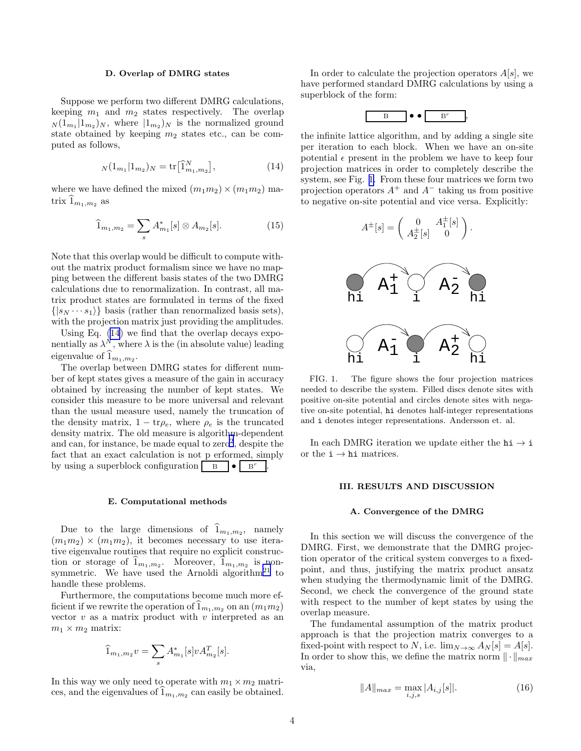# D. Overlap of DMRG states

<span id="page-3-0"></span>Suppose we perform two different DMRG calculations, keeping  $m_1$  and  $m_2$  states respectively. The overlap  $N(1_{m_1}|1_{m_2})_N$ , where  $|1_{m_2})_N$  is the normalized ground state obtained by keeping  $m_2$  states etc., can be computed as follows,

$$
N(1_{m_1}|1_{m_2})_N = \text{tr}\big[\widehat{1}_{m_1,m_2}^N\big],\tag{14}
$$

where we have defined the mixed  $(m_1m_2) \times (m_1m_2)$  matrix  $\mathbf{1}_{m_1,m_2}$  as

$$
\widehat{1}_{m_1,m_2} = \sum_{s} A_{m_1}^*[s] \otimes A_{m_2}[s]. \tag{15}
$$

Note that this overlap would be difficult to compute without the matrix product formalism since we have no mapping between the different basis states of the two DMRG calculations due to renormalization. In contrast, all matrix product states are formulated in terms of the fixed  $\{|s_N \cdots s_1 \rangle\}$  basis (rather than renormalized basis sets), with the projection matrix just providing the amplitudes.

Using Eq. (14) we find that the overlap decays exponentially as  $\lambda^N$ , where  $\lambda$  is the (in absolute value) leading eigenvalue of  $1_{m_1,m_2}$ .

The overlap between DMRG states for different number of kept states gives a measure of the gain in accuracy obtained by increasing the number of kept states. We consider this measure to be more universal and relevant than the usual measure used, namely the truncation of the density matrix,  $1 - \text{tr}\rho_e$ , where  $\rho_e$  is the truncated density matrix. The old measure is algorithm-dependent and can, for instance, be made equal to  $zero^2$  $zero^2$ , despite the fact that an exact calculation is not p erformed, simply by using a superblock configuration  $\mathbf{B} \left[ \bullet \right]$  B<sup>r</sup> .

### E. Computational methods

Due to the large dimensions of  $1_{m_1,m_2}$ , namely  $(m_1m_2) \times (m_1m_2)$ , it becomes necessary to use iterative eigenvalue routines that require no explicit construction or storage of  $1_{m_1,m_2}$ . Moreover,  $1_{m_1,m_2}$  is non-symmetric. We have used the Arnoldi algorithm<sup>[21](#page-10-0)</sup> to handle these problems.

Furthermore, the computations become much more efficient if we rewrite the operation of  $1_{m_1,m_2}$  on an  $(m_1m_2)$ vector  $v$  as a matrix product with  $v$  interpreted as an  $m_1 \times m_2$  matrix:

$$
\widehat{1}_{m_1,m_2}v = \sum_{s} A_{m_1}^*[s]v A_{m_2}^T[s].
$$

In this way we only need to operate with  $m_1 \times m_2$  matrices, and the eigenvalues of  $1_{m_1,m_2}$  can easily be obtained.

In order to calculate the projection operators  $A[s]$ , we have performed standard DMRG calculations by using a superblock of the form:



the infinite lattice algorithm, and by adding a single site per iteration to each block. When we have an on-site potential  $\epsilon$  present in the problem we have to keep four projection matrices in order to completely describe the system, see Fig. 1. From these four matrices we form two projection operators  $A^+$  and  $A^-$  taking us from positive to negative on-site potential and vice versa. Explicitly:

$$
A^{\pm}[s] = \begin{pmatrix} 0 & A_1^{\pm}[s] \\ A_2^{\pm}[s] & 0 \end{pmatrix}.
$$



FIG. 1. The figure shows the four projection matrices needed to describe the system. Filled discs denote sites with positive on-site potential and circles denote sites with negative on-site potential, hi denotes half-integer representations and i denotes integer representations. Andersson et. al.

In each DMRG iteration we update either the  $hi \rightarrow i$ or the  $\mathtt{i}\to\mathtt{hi}$  matrices.

## III. RESULTS AND DISCUSSION

## A. Convergence of the DMRG

In this section we will discuss the convergence of the DMRG. First, we demonstrate that the DMRG projection operator of the critical system converges to a fixedpoint, and thus, justifying the matrix product ansatz when studying the thermodynamic limit of the DMRG. Second, we check the convergence of the ground state with respect to the number of kept states by using the overlap measure.

The fundamental assumption of the matrix product approach is that the projection matrix converges to a fixed-point with respect to N, i.e.  $\lim_{N\to\infty} A_N[s] = A[s]$ . In order to show this, we define the matrix norm  $\|\cdot\|_{max}$ via,

$$
||A||_{max} = \max_{i,j,s} |A_{i,j}[s]|.
$$
 (16)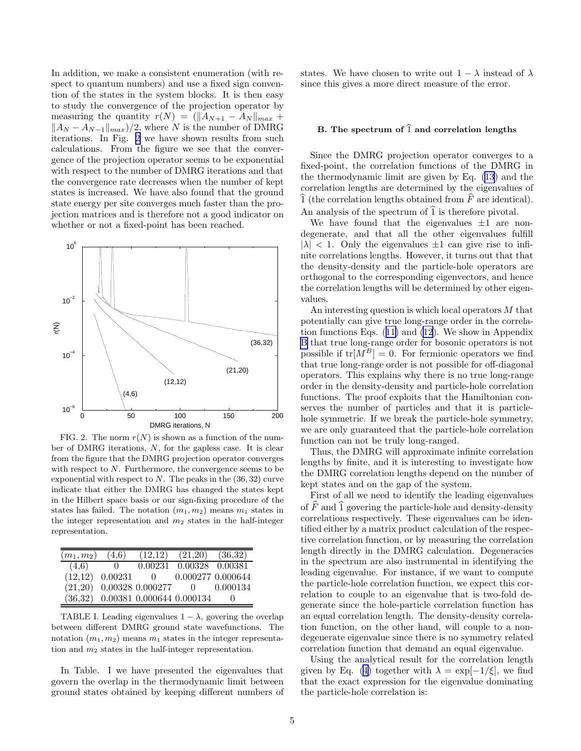<span id="page-4-0"></span>In addition, we make a consistent enumeration (with respect to quantum numbers) and use a fixed sign convention of the states in the system blocks. It is then easy to study the convergence of the projection operator by measuring the quantity  $r(N) = (||A_{N+1} - A_N||_{max} +$  $||A_N - A_{N-1}||_{max}$ /2, where N is the number of DMRG iterations. In Fig. 2 we have shown results from such calculations. From the figure we see that the convergence of the projection operator seems to be exponential with respect to the number of DMRG iterations and that the convergence rate decreases when the number of kept states is increased. We have also found that the ground state energy per site converges much faster than the projection matrices and is therefore not a good indicator on whether or not a fixed-point has been reached.



FIG. 2. The norm  $r(N)$  is shown as a function of the number of DMRG iterations, N, for the gapless case. It is clear from the figure that the DMRG projection operator converges with respect to  $N$ . Furthermore, the convergence seems to be exponential with respect to  $N$ . The peaks in the  $(36, 32)$  curve indicate that either the DMRG has changed the states kept in the Hilbert space basis or our sign-fixing procedure of the states has failed. The notation  $(m_1, m_2)$  means  $m_1$  states in the integer representation and  $m_2$  states in the half-integer representation.

| $(m_1, m_2)$ | (4.6)   | (12,12)                             | (21,20)           | (36,32)  |
|--------------|---------|-------------------------------------|-------------------|----------|
| (4,6)        | 0       | 0.00231                             | $0.00328$ 0.00381 |          |
| (12,12)      | 0.00231 | $\theta$                            | 0.000277 0.000644 |          |
| (21,20)      |         | 0.00328 0.000277                    | $\cup$            | 0.000134 |
| (36,32)      |         | $\,0.00381\,\,0.000644\,\,0.000134$ |                   |          |

TABLE I. Leading eigenvalues  $1 - \lambda$ , govering the overlap between different DMRG ground state wavefunctions. The notation  $(m_1, m_2)$  means  $m_1$  states in the integer representation and  $m_2$  states in the half-integer representation.

In Table. I we have presented the eigenvalues that govern the overlap in the thermodynamic limit between ground states obtained by keeping different numbers of states. We have chosen to write out  $1 - \lambda$  instead of  $\lambda$ since this gives a more direct measure of the error.

# B. The spectrum of  $\widehat{1}$  and correlation lengths

Since the DMRG projection operator converges to a fixed-point, the correlation functions of the DMRG in the thermodynamic limit are given by Eq. [\(13](#page-2-0)) and the correlation lengths are determined by the eigenvalues of  $\widehat{1}$  (the correlation lengths obtained from  $\widehat{F}$  are identical). An analysis of the spectrum of  $\widehat{1}$  is therefore pivotal.

We have found that the eigenvalues  $\pm 1$  are nondegenerate, and that all the other eigenvalues fulfill  $|\lambda|$  < 1. Only the eigenvalues  $\pm 1$  can give rise to infinite correlations lengths. However, it turns out that that the density-density and the particle-hole operators are orthogonal to the corresponding eigenvectors, and hence the correlation lengths will be determined by other eigenvalues.

An interesting question is which local operators M that potentially can give true long-range order in the correlation functions Eqs.([11\)](#page-2-0) and [\(12](#page-2-0)). We show in Appendix [B](#page-7-0) that true long-range order for bosonic operators is not possible if  $tr[M^B] = 0$ . For fermionic operators we find that true long-range order is not possible for off-diagonal operators. This explains why there is no true long-range order in the density-density and particle-hole correlation functions. The proof exploits that the Hamiltonian conserves the number of particles and that it is particlehole symmetric. If we break the particle-hole symmetry, we are only guaranteed that the particle-hole correlation function can not be truly long-ranged.

Thus, the DMRG will approximate infinite correlation lengths by finite, and it is interesting to investigate how the DMRG correlation lengths depend on the number of kept states and on the gap of the system.

First of all we need to identify the leading eigenvalues of  $\widehat{F}$  and  $\widehat{1}$  govering the particle-hole and density-density correlations respectively. These eigenvalues can be identified either by a matrix product calculation of the respective correlation function, or by measuring the correlation length directly in the DMRG calculation. Degeneracies in the spectrum are also instrumental in identifying the leading eigenvalue. For instance, if we want to compute the particle-hole correlation function, we expect this correlation to couple to an eigenvalue that is two-fold degenerate since the hole-particle correlation function has an equal correlation length. The density-density correlation function, on the other hand, will couple to a nondegenerate eigenvalue since there is no symmetry related correlation function that demand an equal eigenvalue.

Using the analytical result for the correlation length givenby Eq. ([4\)](#page-1-0) together with  $\lambda = \exp[-1/\xi]$ , we find that the exact expression for the eigenvalue dominating the particle-hole correlation is: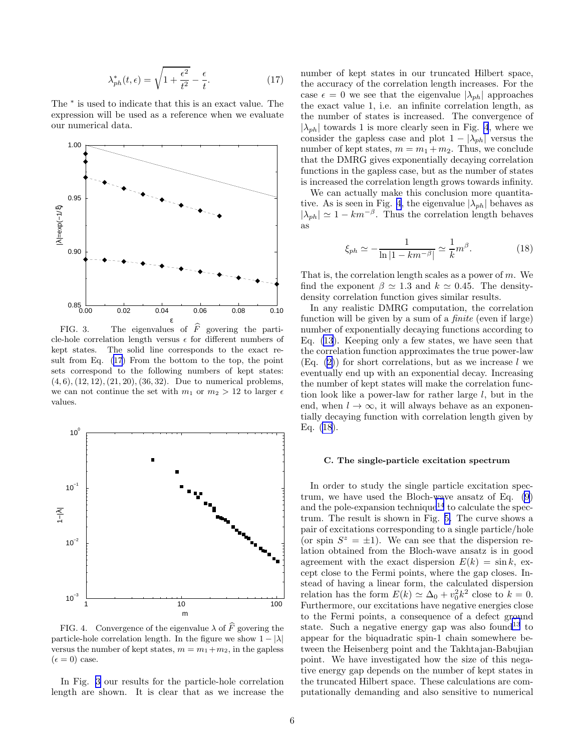$$
\lambda_{ph}^*(t,\epsilon) = \sqrt{1 + \frac{\epsilon^2}{t^2}} - \frac{\epsilon}{t}.\tag{17}
$$

<span id="page-5-0"></span>The  $*$  is used to indicate that this is an exact value. The expression will be used as a reference when we evaluate our numerical data.



FIG. 3. The eigenvalues of  $\widehat{F}$  govering the particle-hole correlation length versus  $\epsilon$  for different numbers of kept states. The solid line corresponds to the exact result from Eq. (17) From the bottom to the top, the point sets correspond to the following numbers of kept states:  $(4, 6), (12, 12), (21, 20), (36, 32).$  Due to numerical problems, we can not continue the set with  $m_1$  or  $m_2 > 12$  to larger  $\epsilon$ values.



FIG. 4. Convergence of the eigenvalue  $\lambda$  of  $\widehat{F}$  govering the particle-hole correlation length. In the figure we show  $1 - |\lambda|$ versus the number of kept states,  $m = m_1 + m_2$ , in the gapless  $(\epsilon = 0)$  case.

In Fig. 3 our results for the particle-hole correlation length are shown. It is clear that as we increase the

number of kept states in our truncated Hilbert space, the accuracy of the correlation length increases. For the case  $\epsilon = 0$  we see that the eigenvalue  $|\lambda_{ph}|$  approaches the exact value 1, i.e. an infinite correlation length, as the number of states is increased. The convergence of  $|\lambda_{ph}|$  towards 1 is more clearly seen in Fig. 4, where we consider the gapless case and plot  $1 - |\lambda_{ph}|$  versus the number of kept states,  $m = m_1 + m_2$ . Thus, we conclude that the DMRG gives exponentially decaying correlation functions in the gapless case, but as the number of states is increased the correlation length grows towards infinity.

We can actually make this conclusion more quantitative. As is seen in Fig. 4, the eigenvalue  $|\lambda_{ph}|$  behaves as  $|\lambda_{ph}| \simeq 1 - km^{-\beta}$ . Thus the correlation length behaves as

$$
\xi_{ph} \simeq -\frac{1}{\ln|1 - km^{-\beta}|} \simeq \frac{1}{k} m^{\beta}.
$$
 (18)

That is, the correlation length scales as a power of m. We find the exponent  $\beta \simeq 1.3$  and  $k \simeq 0.45$ . The densitydensity correlation function gives similar results.

In any realistic DMRG computation, the correlation function will be given by a sum of a finite (even if large) number of exponentially decaying functions according to Eq. [\(13](#page-2-0)). Keeping only a few states, we have seen that the correlation function approximates the true power-law  $(Eq. (2))$  $(Eq. (2))$  $(Eq. (2))$  $(Eq. (2))$  $(Eq. (2))$  for short correlations, but as we increase l we eventually end up with an exponential decay. Increasing the number of kept states will make the correlation function look like a power-law for rather large  $l$ , but in the end, when  $l \to \infty$ , it will always behave as an exponentially decaying function with correlation length given by Eq. (18).

#### C. The single-particle excitation spectrum

In order to study the single particle excitation spectrum, we have used the Bloch-wave ansatz of Eq. [\(9](#page-2-0)) and the pole-expansion technique<sup>[14](#page-10-0)</sup> to calculate the spectrum. The result is shown in Fig. [5.](#page-6-0) The curve shows a pair of excitations corresponding to a single particle/hole (or spin  $S^z = \pm 1$ ). We can see that the dispersion relation obtained from the Bloch-wave ansatz is in good agreement with the exact dispersion  $E(k) = \sin k$ , except close to the Fermi points, where the gap closes. Instead of having a linear form, the calculated dispersion relation has the form  $E(k) \simeq \Delta_0 + v_0^2 k^2$  close to  $k = 0$ . Furthermore, our excitations have negative energies close to the Fermi points, a consequence of a defect ground state. Such a negative energy gap was also found<sup>[13](#page-10-0)</sup> to appear for the biquadratic spin-1 chain somewhere between the Heisenberg point and the Takhtajan-Babujian point. We have investigated how the size of this negative energy gap depends on the number of kept states in the truncated Hilbert space. These calculations are computationally demanding and also sensitive to numerical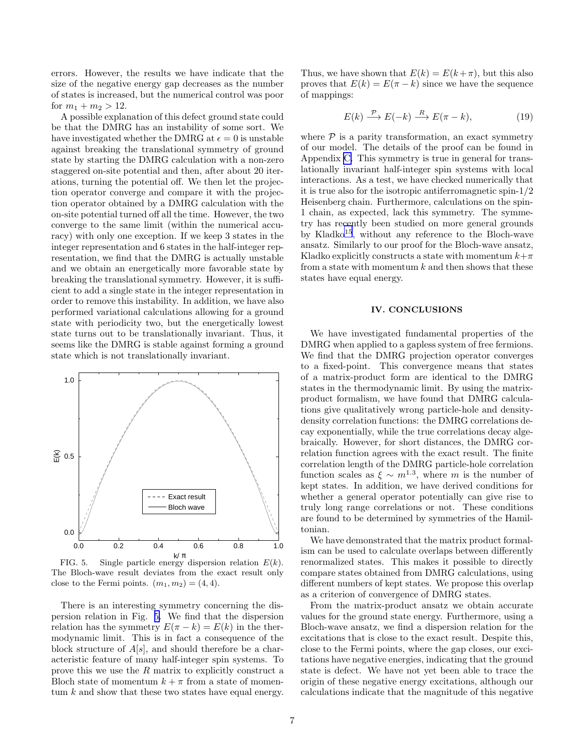<span id="page-6-0"></span>errors. However, the results we have indicate that the size of the negative energy gap decreases as the number of states is increased, but the numerical control was poor for  $m_1 + m_2 > 12$ .

A possible explanation of this defect ground state could be that the DMRG has an instability of some sort. We have investigated whether the DMRG at  $\epsilon = 0$  is unstable against breaking the translational symmetry of ground state by starting the DMRG calculation with a non-zero staggered on-site potential and then, after about 20 iterations, turning the potential off. We then let the projection operator converge and compare it with the projection operator obtained by a DMRG calculation with the on-site potential turned off all the time. However, the two converge to the same limit (within the numerical accuracy) with only one exception. If we keep 3 states in the integer representation and 6 states in the half-integer representation, we find that the DMRG is actually unstable and we obtain an energetically more favorable state by breaking the translational symmetry. However, it is sufficient to add a single state in the integer representation in order to remove this instability. In addition, we have also performed variational calculations allowing for a ground state with periodicity two, but the energetically lowest state turns out to be translationally invariant. Thus, it seems like the DMRG is stable against forming a ground state which is not translationally invariant.



FIG. 5. Single particle energy dispersion relation  $E(k)$ . The Bloch-wave result deviates from the exact result only close to the Fermi points.  $(m_1, m_2) = (4, 4)$ .

There is an interesting symmetry concerning the dispersion relation in Fig. 5. We find that the dispersion relation has the symmetry  $E(\pi - k) = E(k)$  in the thermodynamic limit. This is in fact a consequence of the block structure of  $A[s]$ , and should therefore be a characteristic feature of many half-integer spin systems. To prove this we use the R matrix to explicitly construct a Bloch state of momentum  $k + \pi$  from a state of momentum  $k$  and show that these two states have equal energy.

Thus, we have shown that  $E(k) = E(k+\pi)$ , but this also proves that  $E(k) = E(\pi - k)$  since we have the sequence of mappings:

$$
E(k) \xrightarrow{\mathcal{P}} E(-k) \xrightarrow{R} E(\pi - k), \tag{19}
$$

where  $P$  is a parity transformation, an exact symmetry of our model. The details of the proof can be found in Appendix [C.](#page-9-0) This symmetry is true in general for translationally invariant half-integer spin systems with local interactions. As a test, we have checked numerically that it is true also for the isotropic antiferromagnetic spin-1/2 Heisenberg chain. Furthermore, calculations on the spin-1 chain, as expected, lack this symmetry. The symmetry has recently been studied on more general grounds by Kladko[15](#page-10-0), without any reference to the Bloch-wave ansatz. Similarly to our proof for the Bloch-wave ansatz, Kladko explicitly constructs a state with momentum  $k+\pi$ from a state with momentum  $k$  and then shows that these states have equal energy.

#### IV. CONCLUSIONS

We have investigated fundamental properties of the DMRG when applied to a gapless system of free fermions. We find that the DMRG projection operator converges to a fixed-point. This convergence means that states of a matrix-product form are identical to the DMRG states in the thermodynamic limit. By using the matrixproduct formalism, we have found that DMRG calculations give qualitatively wrong particle-hole and densitydensity correlation functions: the DMRG correlations decay exponentially, while the true correlations decay algebraically. However, for short distances, the DMRG correlation function agrees with the exact result. The finite correlation length of the DMRG particle-hole correlation function scales as  $\xi \sim m^{1.3}$ , where m is the number of kept states. In addition, we have derived conditions for whether a general operator potentially can give rise to truly long range correlations or not. These conditions are found to be determined by symmetries of the Hamiltonian.

We have demonstrated that the matrix product formalism can be used to calculate overlaps between differently renormalized states. This makes it possible to directly compare states obtained from DMRG calculations, using different numbers of kept states. We propose this overlap as a criterion of convergence of DMRG states.

From the matrix-product ansatz we obtain accurate values for the ground state energy. Furthermore, using a Bloch-wave ansatz, we find a dispersion relation for the excitations that is close to the exact result. Despite this, close to the Fermi points, where the gap closes, our excitations have negative energies, indicating that the ground state is defect. We have not yet been able to trace the origin of these negative energy excitations, although our calculations indicate that the magnitude of this negative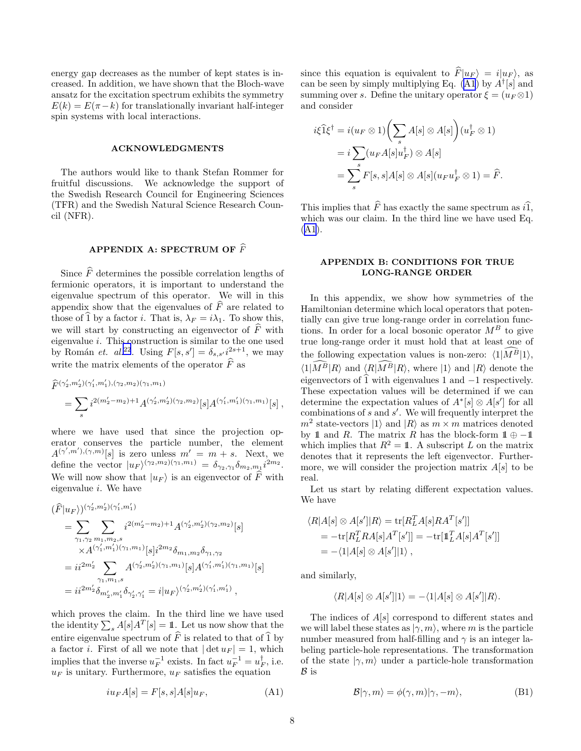<span id="page-7-0"></span>energy gap decreases as the number of kept states is increased. In addition, we have shown that the Bloch-wave ansatz for the excitation spectrum exhibits the symmetry  $E(k) = E(\pi - k)$  for translationally invariant half-integer spin systems with local interactions.

#### ACKNOWLEDGMENTS

The authors would like to thank Stefan Rommer for fruitful discussions. We acknowledge the support of the Swedish Research Council for Engineering Sciences (TFR) and the Swedish Natural Science Research Council (NFR).

# APPENDIX A: SPECTRUM OF  $\widehat{F}$

Since  $\widehat{F}$  determines the possible correlation lengths of fermionic operators, it is important to understand the eigenvalue spectrum of this operator. We will in this appendix show that the eigenvalues of  $\widehat{F}$  are related to those of  $\hat{1}$  by a factor i. That is,  $\lambda_F = i\lambda_1$ . To show this, we will start by constructing an eigenvector of  $\widehat{F}$  with eigenvalue  $i$ . This construction is similar to the one used by Román *et.*  $al^{22}$  $al^{22}$  $al^{22}$ . Using  $F[s, s'] = \delta_{s, s'} i^{2s+1}$ , we may write the matrix elements of the operator  $\widehat{F}$  as

$$
\begin{split} &\widehat{F}^{(\gamma_2',m_2')(\gamma_1',m_1'),(\gamma_2,m_2)(\gamma_1,m_1)}\\ &=\sum_s i^{2(m_2'-m_2)+1} A^{(\gamma_2',m_2')(\gamma_2,m_2)}[s] A^{(\gamma_1',m_1')(\gamma_1,m_1)}[s]\;, \end{split}
$$

where we have used that since the projection operator conserves the particle number, the element  $A^{(\gamma',m'),(\gamma,m)}[s]$  is zero unless  $m' = m + s$ . Next, we define the vector  $|u_F\rangle^{(\gamma_2,m_2)(\gamma_1,m_1)} = \delta_{\gamma_2,\gamma_1} \delta_{m_2,m_1} i^{2m_2}.$ We will now show that  $|u_F\rangle$  is an eigenvector of  $\hat{F}$  with eigenvalue i. We have

$$
\begin{split} &(\widehat{F}|u_F\rangle)^{(\gamma_2',m_2')(\gamma_1',m_1')}\\ &=\sum_{\gamma_1,\gamma_2}\sum_{m_1,m_2,s}i^{2(m_2'-m_2)+1}A^{(\gamma_2',m_2')(\gamma_2,m_2)}[s]\\ &\quad \times A^{(\gamma_1',m_1')(\gamma_1,m_1)}[s]i^{2m_2}\delta_{m_1,m_2}\delta_{\gamma_1,\gamma_2}\\ &=ii^{2m_2'}\sum_{\gamma_1,m_1,s}A^{(\gamma_2',m_2')(\gamma_1,m_1)}[s]A^{(\gamma_1',m_1')(\gamma_1,m_1)}[s]\\ &=ii^{2m_2'}\delta_{m_2',m_1'}\delta_{\gamma_2',\gamma_1'}=i|u_F\rangle^{(\gamma_2',m_2')(\gamma_1',m_1')}\,, \end{split}
$$

which proves the claim. In the third line we have used the identity  $\sum_{s} A[s]A^{T}[s] = \mathbb{1}$ . Let us now show that the entire eigenvalue spectrum of  $\widehat{F}$  is related to that of  $\widehat{1}$  by a factor *i*. First of all we note that  $|\det u_F| = 1$ , which implies that the inverse  $u_F^{-1}$  exists. In fact  $u_F^{-1} = u_F^{\dagger}$ , i.e.  $u_F$  is unitary. Furthermore,  $u_F$  satisfies the equation

$$
iu_F A[s] = F[s, s] A[s] u_F,
$$
\n(A1)

since this equation is equivalent to  $\widehat{F}|u_F\rangle = i|u_F\rangle$ , as can be seen by simply multiplying Eq. (A1) by  $A^{\dagger}[s]$  and summing over s. Define the unitary operator  $\xi = (u_F \otimes 1)$ and consider

$$
i\xi \widehat{1}\xi^{\dagger} = i(u_F \otimes 1) \left(\sum_s A[s] \otimes A[s]\right) (u_F^{\dagger} \otimes 1)
$$
  
=  $i \sum_s (u_F A[s]u_F^{\dagger}) \otimes A[s]$   
=  $\sum_s^s F[s, s]A[s] \otimes A[s](u_F u_F^{\dagger} \otimes 1) = \widehat{F}.$ 

This implies that  $\widehat{F}$  has exactly the same spectrum as  $i\widehat{1}$ , which was our claim. In the third line we have used Eq. (A1).

# APPENDIX B: CONDITIONS FOR TRUE LONG-RANGE ORDER

In this appendix, we show how symmetries of the Hamiltonian determine which local operators that potentially can give true long-range order in correlation functions. In order for a local bosonic operator  $M^B$  to give true long-range order it must hold that at least one of the following expectation values is non-zero:  $\langle 1|\tilde{M}^{\tilde{B}}|1\rangle$ ,  $\langle 1|\widehat{M}^B|R\rangle$  and  $\langle R|\widehat{M}^B|R\rangle$ , where  $|1\rangle$  and  $|R\rangle$  denote the eigenvectors of  $\hat{1}$  with eigenvalues 1 and  $-1$  respectively. These expectation values will be determined if we can determine the expectation values of  $A^*[s] \otimes A[s']$  for all combinations of  $s$  and  $s'$ . We will frequently interpret the  $m^2$  state-vectors  $|1\rangle$  and  $|R\rangle$  as  $m \times m$  matrices denoted by 1 and R. The matrix R has the block-form  $1 \oplus -11$ which implies that  $R^2 = \mathbb{1}$ . A subscript L on the matrix denotes that it represents the left eigenvector. Furthermore, we will consider the projection matrix  $A[s]$  to be real.

Let us start by relating different expectation values. We have

$$
\langle R|A[s] \otimes A[s']|R\rangle = \text{tr}[R_L^T A[s]RA^T[s']]
$$
  
= 
$$
-\text{tr}[R_L^T RA[s]A^T[s']] = -\text{tr}[\mathbb{1}_L^T A[s]A^T[s']]
$$
  
= 
$$
-\langle 1|A[s] \otimes A[s']|1\rangle ,
$$

and similarly,

$$
\langle R|A[s] \otimes A[s']|1 \rangle = -\langle 1|A[s] \otimes A[s']|R \rangle.
$$

The indices of  $A[s]$  correspond to different states and we will label these states as  $|\gamma, m\rangle$ , where m is the particle number measured from half-filling and  $\gamma$  is an integer labeling particle-hole representations. The transformation of the state  $|\gamma, m\rangle$  under a particle-hole transformation  $\mathcal{B}$  is

$$
\mathcal{B}|\gamma,m\rangle = \phi(\gamma,m)|\gamma,-m\rangle,\tag{B1}
$$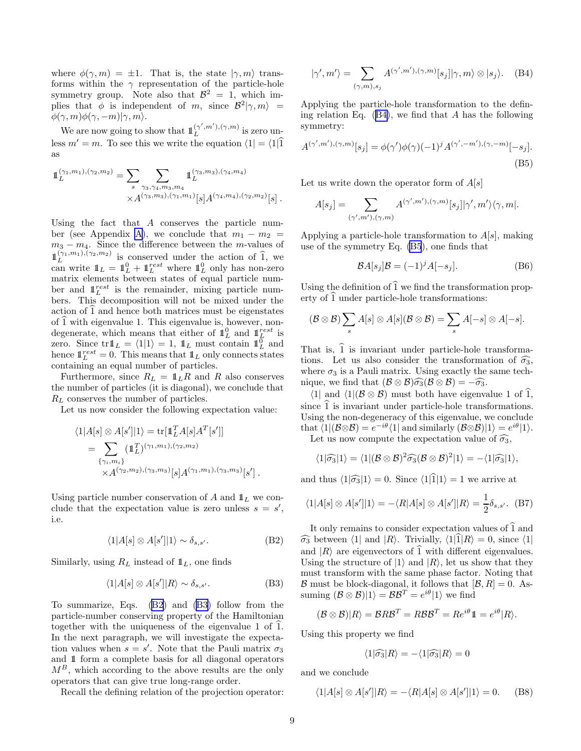where  $\phi(\gamma, m) = \pm 1$ . That is, the state  $|\gamma, m\rangle$  transforms within the  $\gamma$  representation of the particle-hole symmetry group. Note also that  $\mathcal{B}^2 = 1$ , which implies that  $\phi$  is independent of m, since  $\mathcal{B}^2|\gamma,m\rangle =$  $\phi(\gamma,m)\phi(\gamma,-m)|\gamma,m\rangle.$ 

We are now going to show that  $\mathbb{1}_{L}^{(\gamma',m'),(\gamma,m)}$  $\sum_{L}^{(\gamma_1,m_2),( \gamma_2,m_2) }$  is zero unless  $m' = m$ . To see this we write the equation  $\langle 1 | = \langle 1 | 1 \rangle$ as

$$
\mathbb{1}_L^{(\gamma_1,m_1),(\gamma_2,m_2)} = \sum_s \sum_{\substack{s \ \gamma_3,\gamma_4,m_3,m_4 \\ \times A^{(\gamma_3,m_3),(\gamma_1,m_1)}[s]A^{(\gamma_4,m_4),(\gamma_2,m_2)}[s] }.
$$

Using the fact that A conserves the particle num-ber (see Appendix [A\)](#page-7-0), we conclude that  $m_1 - m_2 =$  $m_3 - m_4$ . Since the difference between the m-values of  $\mathbb{1}_{L}^{(\gamma_1,m_1),(\gamma_2,m_2)}$  $L^{(\gamma_1,m_1),(\gamma_2,m_2)}$  is conserved under the action of 1, we can write  $1\!\!1_L = 1\!\!1_L^{0} + 1\!\!1_L^{rest}$  where  $1\!\!1_L^{0}$  only has non-zero matrix elements between states of equal particle number and  $1<sup>rest</sup><sub>L</sub>$  is the remainder, mixing particle numbers. This decomposition will not be mixed under the action of 1 and hence both matrices must be eigenstates of  $\hat{1}$  with eigenvalue 1. This eigenvalue is, however, nondegenerate, which means that either of  $\mathbb{1}_{L}^{0}$  and  $\mathbb{1}_{L}^{rest}$  is zero. Since  $\text{tr} \mathbb{1}_L = \langle 1 | 1 \rangle = 1$ ,  $\mathbb{1}_L$  must contain  $\mathbb{1}_L^0$  and hence  $\mathbb{1}_{L}^{rest} = 0$ . This means that  $\mathbb{1}_{L}$  only connects states containing an equal number of particles.

Furthermore, since  $R_L = \mathbb{1}_L R$  and R also conserves the number of particles (it is diagonal), we conclude that  $R_L$  conserves the number of particles.

Let us now consider the following expectation value:

$$
\langle 1|A[s] \otimes A[s']|1 \rangle = \text{tr}[\mathbb{1}_L^T A[s] A^T[s']]
$$
  
= 
$$
\sum_{\{\gamma_i, m_i\}} (\mathbb{1}_L^T)^{(\gamma_1, m_1), (\gamma_2, m_2)}
$$
  
 
$$
\times A^{(\gamma_2, m_2), (\gamma_3, m_3)}[s] A^{(\gamma_1, m_1), (\gamma_3, m_3)}[s'] .
$$

Using particle number conservation of A and  $\mathbb{1}_L$  we conclude that the expectation value is zero unless  $s = s'$ , i.e.

$$
\langle 1|A[s] \otimes A[s']|1 \rangle \sim \delta_{s,s'}.\tag{B2}
$$

Similarly, using  $R_L$  instead of  $1\mathbb{1}_L$ , one finds

$$
\langle 1|A[s] \otimes A[s']|R\rangle \sim \delta_{s,s'}.\tag{B3}
$$

To summarize, Eqs. (B2) and (B3) follow from the particle-number conserving property of the Hamiltonian together with the uniqueness of the eigenvalue 1 of  $\hat{1}$ . In the next paragraph, we will investigate the expectation values when  $s = s'$ . Note that the Pauli matrix  $\sigma_3$ and 11 form a complete basis for all diagonal operators  $M^B$ , which according to the above results are the only operators that can give true long-range order.

Recall the defining relation of the projection operator:

$$
|\gamma', m'\rangle = \sum_{(\gamma,m), s_j} A^{(\gamma',m'),(\gamma,m)}[s_j] |\gamma, m\rangle \otimes |s_j\rangle. \quad (B4)
$$

Applying the particle-hole transformation to the defining relation Eq.  $(B4)$ , we find that A has the following symmetry:

$$
A^{(\gamma',m'),(\gamma,m)}[s_j] = \phi(\gamma')\phi(\gamma)(-1)^j A^{(\gamma',-m'),(\gamma,-m)}[-s_j].
$$
\n(B5)

Let us write down the operator form of  $A[s]$ 

$$
A[s_j] = \sum_{(\gamma',m'),(\gamma,m)} A^{(\gamma',m'),(\gamma,m)}[s_j] | \gamma', m' \rangle \langle \gamma, m |.
$$

Applying a particle-hole transformation to  $A[s]$ , making use of the symmetry Eq. (B5), one finds that

$$
\mathcal{B}A[s_j]\mathcal{B} = (-1)^j A[-s_j].\tag{B6}
$$

Using the definition of  $\widehat{1}$  we find the transformation property of  $\hat{1}$  under particle-hole transformations:

$$
(\mathcal{B}\otimes\mathcal{B})\sum_{s}A[s]\otimes A[s](\mathcal{B}\otimes\mathcal{B})=\sum_{s}A[-s]\otimes A[-s].
$$

That is,  $\hat{1}$  is invariant under particle-hole transformations. Let us also consider the transformation of  $\widehat{\sigma_3}$ , where  $\sigma_3$  is a Pauli matrix. Using exactly the same technique, we find that  $(\mathcal{B} \otimes \mathcal{B})\widehat{\sigma_3}(\mathcal{B} \otimes \mathcal{B}) = -\widehat{\sigma_3}$ .

 $\langle 1|$  and  $\langle 1|$ ( $\mathcal{B} \otimes \mathcal{B}$ ) must both have eigenvalue 1 of 1, since  $\hat{1}$  is invariant under particle-hole transformations. Using the non-degeneracy of this eigenvalue, we conclude that  $\langle 1|(\mathcal{B}\otimes \mathcal{B})=e^{-i\theta}\langle 1|$  and similarly  $(\mathcal{B}\otimes \mathcal{B})|1\rangle = e^{i\theta}|1\rangle$ .

Let us now compute the expectation value of  $\widehat{\sigma_3}$ ,

$$
\langle 1|\widehat{\sigma_3}|1\rangle = \langle 1|(\mathcal{B}\otimes\mathcal{B})^2\widehat{\sigma_3}(\mathcal{B}\otimes\mathcal{B})^2|1\rangle = -\langle 1|\widehat{\sigma_3}|1\rangle,
$$

and thus  $\langle 1|\hat{\sigma}_3|1\rangle = 0$ . Since  $\langle 1|\hat{1}|1\rangle = 1$  we arrive at

$$
\langle 1|A[s] \otimes A[s']|1 \rangle = -\langle R|A[s] \otimes A[s']|R \rangle = \frac{1}{2} \delta_{s,s'}.
$$
 (B7)

It only remains to consider expectation values of  $\hat{1}$  and  $\widehat{\sigma_3}$  between  $\langle 1|$  and  $|R\rangle$ . Trivially,  $\langle 1|\widehat{1}|R\rangle = 0$ , since  $\langle 1|$ and  $|R\rangle$  are eigenvectors of  $\hat{1}$  with different eigenvalues. Using the structure of  $|1\rangle$  and  $|R\rangle$ , let us show that they must transform with the same phase factor. Noting that  $\mathcal B$  must be block-diagonal, it follows that  $[\mathcal B, R] = 0$ . Assuming  $(\mathcal{B} \otimes \mathcal{B})|1\rangle = \mathcal{B}\mathcal{B}^T = e^{i\theta}|1\rangle$  we find

$$
(\mathcal{B}\otimes\mathcal{B})|R\rangle = \mathcal{B}R\mathcal{B}^T = R\mathcal{B}\mathcal{B}^T = Re^{i\theta}\mathbb{1} = e^{i\theta}|R\rangle.
$$

Using this property we find

$$
\langle 1|\widehat{\sigma_3}|R\rangle = -\langle 1|\widehat{\sigma_3}|R\rangle = 0
$$

and we conclude

$$
\langle 1|A[s]\otimes A[s']|R\rangle = -\langle R|A[s]\otimes A[s']|1\rangle = 0. \qquad (B8)
$$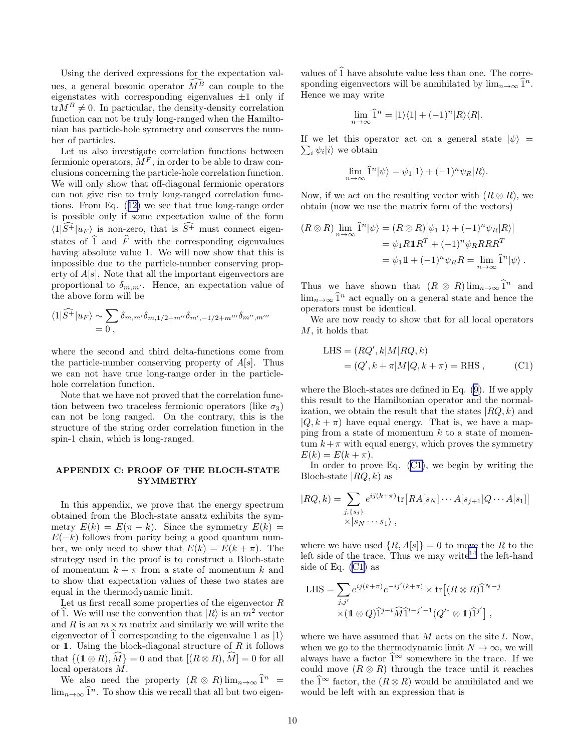<span id="page-9-0"></span>Using the derived expressions for the expectation values, a general bosonic operator  $\widehat{M}^{\widehat{B}}$  can couple to the eigenstates with corresponding eigenvalues  $\pm 1$  only if  ${\rm tr}M^B\neq 0$ . In particular, the density-density correlation function can not be truly long-ranged when the Hamiltonian has particle-hole symmetry and conserves the number of particles.

Let us also investigate correlation functions between fermionic operators,  $\tilde{M}^F$ , in order to be able to draw conclusions concerning the particle-hole correlation function. We will only show that off-diagonal fermionic operators can not give rise to truly long-ranged correlation functions. From Eq.([12\)](#page-2-0) we see that true long-range order is possible only if some expectation value of the form  $\langle 1|\widehat{S^+}|u_F\rangle$  is non-zero, that is  $\widehat{S^+}$  must connect eigenstates of  $\hat{1}$  and  $\hat{F}$  with the corresponding eigenvalues having absolute value 1. We will now show that this is impossible due to the particle-number conserving property of  $A[s]$ . Note that all the important eigenvectors are proportional to  $\delta_{m,m'}$ . Hence, an expectation value of the above form will be

$$
\langle 1|\widehat{S^+}|u_F\rangle \sim \sum_{m,m'} \delta_{m,m'}\delta_{m,1/2+m''}\delta_{m',-1/2+m'''}\delta_{m'',m'''}\,
$$

where the second and third delta-functions come from the particle-number conserving property of  $A[s]$ . Thus we can not have true long-range order in the particlehole correlation function.

Note that we have not proved that the correlation function between two traceless fermionic operators (like  $\sigma_3$ ) can not be long ranged. On the contrary, this is the structure of the string order correlation function in the spin-1 chain, which is long-ranged.

# APPENDIX C: PROOF OF THE BLOCH-STATE **SYMMETRY**

In this appendix, we prove that the energy spectrum obtained from the Bloch-state ansatz exhibits the symmetry  $E(k) = E(\pi - k)$ . Since the symmetry  $E(k) =$  $E(-k)$  follows from parity being a good quantum number, we only need to show that  $E(k) = E(k + \pi)$ . The strategy used in the proof is to construct a Bloch-state of momentum  $k + \pi$  from a state of momentum k and to show that expectation values of these two states are equal in the thermodynamic limit.

Let us first recall some properties of the eigenvector  $R$ of  $\hat{1}$ . We will use the convention that  $|R\rangle$  is an  $m^2$  vector and R is an  $m \times m$  matrix and similarly we will write the eigenvector of  $\hat{1}$  corresponding to the eigenvalue 1 as  $|1\rangle$ or 1. Using the block-diagonal structure of  $R$  it follows that  $\{(1 \otimes R), \widehat{M}\} = 0$  and that  $[(R \otimes R), \widehat{M}] = 0$  for all local operators M.

We also need the property  $(R \otimes R)$   $\lim_{n\to\infty} \hat{1}^n$  =  $\lim_{n\to\infty} \hat{1}^n$ . To show this we recall that all but two eigenvalues of  $\hat{1}$  have absolute value less than one. The corresponding eigenvectors will be annihilated by  $\lim_{n\to\infty} \hat{1}^n$ . Hence we may write

$$
\lim_{n \to \infty} \hat{1}^n = |1\rangle\langle 1| + (-1)^n |R\rangle\langle R|.
$$

 $\sum_i \psi_i |i\rangle$  we obtain If we let this operator act on a general state  $|\psi\rangle$  =

$$
\lim_{n \to \infty} \hat{1}^n |\psi\rangle = \psi_1 |1\rangle + (-1)^n \psi_R |R\rangle.
$$

Now, if we act on the resulting vector with  $(R \otimes R)$ , we obtain (now we use the matrix form of the vectors)

$$
(R \otimes R) \lim_{n \to \infty} \hat{1}^n |\psi\rangle = (R \otimes R)[\psi_1 | 1\rangle + (-1)^n \psi_R | R\rangle]
$$
  
=  $\psi_1 R 1 R^T + (-1)^n \psi_R R R R^T$   
=  $\psi_1 1 + (-1)^n \psi_R R = \lim_{n \to \infty} \hat{1}^n |\psi\rangle.$ 

Thus we have shown that  $(R \otimes R)$   $\lim_{n \to \infty} \hat{1}^n$  and  $\lim_{n\to\infty} \hat{1}^n$  act equally on a general state and hence the operators must be identical.

We are now ready to show that for all local operators M, it holds that

LHS = 
$$
(RQ', k|M|RQ, k)
$$
  
=  $(Q', k + \pi|M|Q, k + \pi) =$ RHS, (C1)

where the Bloch-states are defined in Eq. [\(9](#page-2-0)). If we apply this result to the Hamiltonian operator and the normalization, we obtain the result that the states  $|RQ, k\rangle$  and  $|Q, k + \pi\rangle$  have equal energy. That is, we have a mapping from a state of momentum  $k$  to a state of momentum  $k+\pi$  with equal energy, which proves the symmetry  $E(k) = E(k + \pi).$ 

In order to prove Eq.  $(C1)$ , we begin by writing the Bloch-state  $|RQ, k\rangle$  as

$$
|RQ,k) = \sum_{\substack{j,\{s_j\} \\ \times \,|s_N|\cdots s_1\rangle}} e^{ij(k+\pi)} \text{tr}\big[RA[s_N]\cdots A[s_{j+1}]Q\cdots A[s_1]\big]
$$

where we have used  $\{R, A[s]\} = 0$  to move the R to the left side of the trace. Thus we may write<sup>[14](#page-10-0)</sup> the left-hand side of Eq. (C1) as

LHS = 
$$
\sum_{j,j'} e^{ij(k+\pi)} e^{-ij'(k+\pi)} \times \text{tr}[(R \otimes R)\hat{1}^{N-j} \times (1 \otimes Q)\hat{1}^{j-l}\hat{M}\hat{1}^{l-j'-1}(Q'^* \otimes 1)\hat{1}^{j'}],
$$

where we have assumed that  $M$  acts on the site  $l$ . Now, when we go to the thermodynamic limit  $N \to \infty$ , we will always have a factor  $\hat{1}^{\infty}$  somewhere in the trace. If we could move  $(R \otimes R)$  through the trace until it reaches the  $\widehat{1}^{\infty}$  factor, the  $(R \otimes R)$  would be annihilated and we would be left with an expression that is